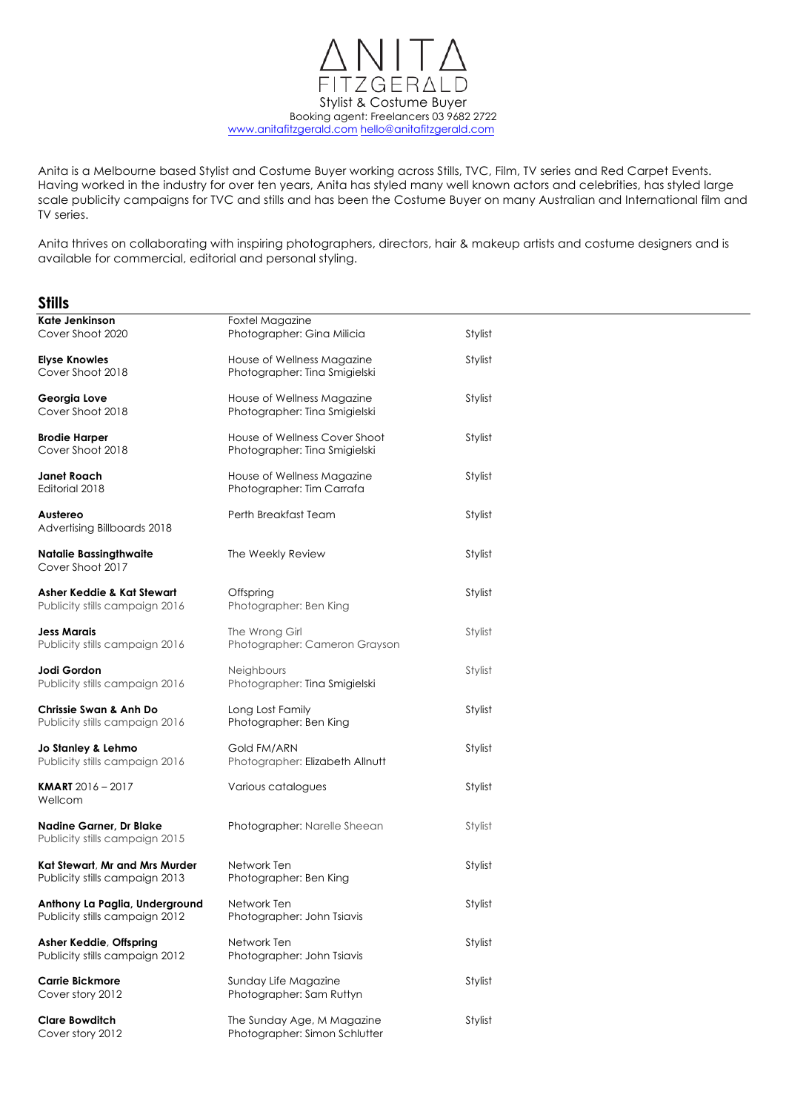ZGERAL  $\bigcap$ Stylist & Costume Buyer Booking agent: Freelancers 03 9682 2722 www.anitafitzgerald.com hello@anitafitzgerald.com

Anita is a Melbourne based Stylist and Costume Buyer working across Stills, TVC, Film, TV series and Red Carpet Events. Having worked in the industry for over ten years, Anita has styled many well known actors and celebrities, has styled large scale publicity campaigns for TVC and stills and has been the Costume Buyer on many Australian and International film and TV series.

Anita thrives on collaborating with inspiring photographers, directors, hair & makeup artists and costume designers and is available for commercial, editorial and personal styling.

# **Stills**

| Kate Jenkinson<br>Cover Shoot 2020                               | Foxtel Magazine<br>Photographer: Gina Milicia                  | Stylist |  |
|------------------------------------------------------------------|----------------------------------------------------------------|---------|--|
| <b>Elyse Knowles</b><br>Cover Shoot 2018                         | House of Wellness Magazine<br>Photographer: Tina Smigielski    | Stylist |  |
| Georgia Love<br>Cover Shoot 2018                                 | House of Wellness Magazine<br>Photographer: Tina Smigielski    | Stylist |  |
| <b>Brodie Harper</b><br>Cover Shoot 2018                         | House of Wellness Cover Shoot<br>Photographer: Tina Smigielski | Stylist |  |
| Janet Roach<br>Editorial 2018                                    | House of Wellness Magazine<br>Photographer: Tim Carrafa        | Stylist |  |
| Austereo<br>Advertising Billboards 2018                          | Perth Breakfast Team                                           | Stylist |  |
| <b>Natalie Bassingthwaite</b><br>Cover Shoot 2017                | The Weekly Review                                              | Stylist |  |
| Asher Keddie & Kat Stewart<br>Publicity stills campaign 2016     | Offspring<br>Photographer: Ben King                            | Stylist |  |
| Jess Marais<br>Publicity stills campaign 2016                    | The Wrong Girl<br>Photographer: Cameron Grayson                | Stylist |  |
| Jodi Gordon<br>Publicity stills campaign 2016                    | <b>Neighbours</b><br>Photographer: Tina Smigielski             | Stylist |  |
| Chrissie Swan & Anh Do<br>Publicity stills campaign 2016         | Long Lost Family<br>Photographer: Ben King                     | Stylist |  |
| Jo Stanley & Lehmo<br>Publicity stills campaign 2016             | Gold FM/ARN<br>Photographer: Elizabeth Allnutt                 | Stylist |  |
| <b>KMART</b> $2016 - 2017$<br>Wellcom                            | Various catalogues                                             | Stylist |  |
| <b>Nadine Garner, Dr Blake</b><br>Publicity stills campaign 2015 | Photographer: Narelle Sheean                                   | Stylist |  |
| Kat Stewart, Mr and Mrs Murder<br>Publicity stills campaign 2013 | Network Ten<br>Photographer: Ben King                          | Stylist |  |
| Anthony La Paglia, Underground<br>Publicity stills campaign 2012 | Network Ten<br>Photographer: John Tsiavis                      | Stylist |  |
| Asher Keddie, Offspring<br>Publicity stills campaign 2012        | Network Ten<br>Photographer: John Tsiavis                      | Stylist |  |
| <b>Carrie Bickmore</b><br>Cover story 2012                       | Sunday Life Magazine<br>Photographer: Sam Ruttyn               | Stylist |  |
| <b>Clare Bowditch</b><br>Cover story 2012                        | The Sunday Age, M Magazine<br>Photographer: Simon Schlutter    | Stylist |  |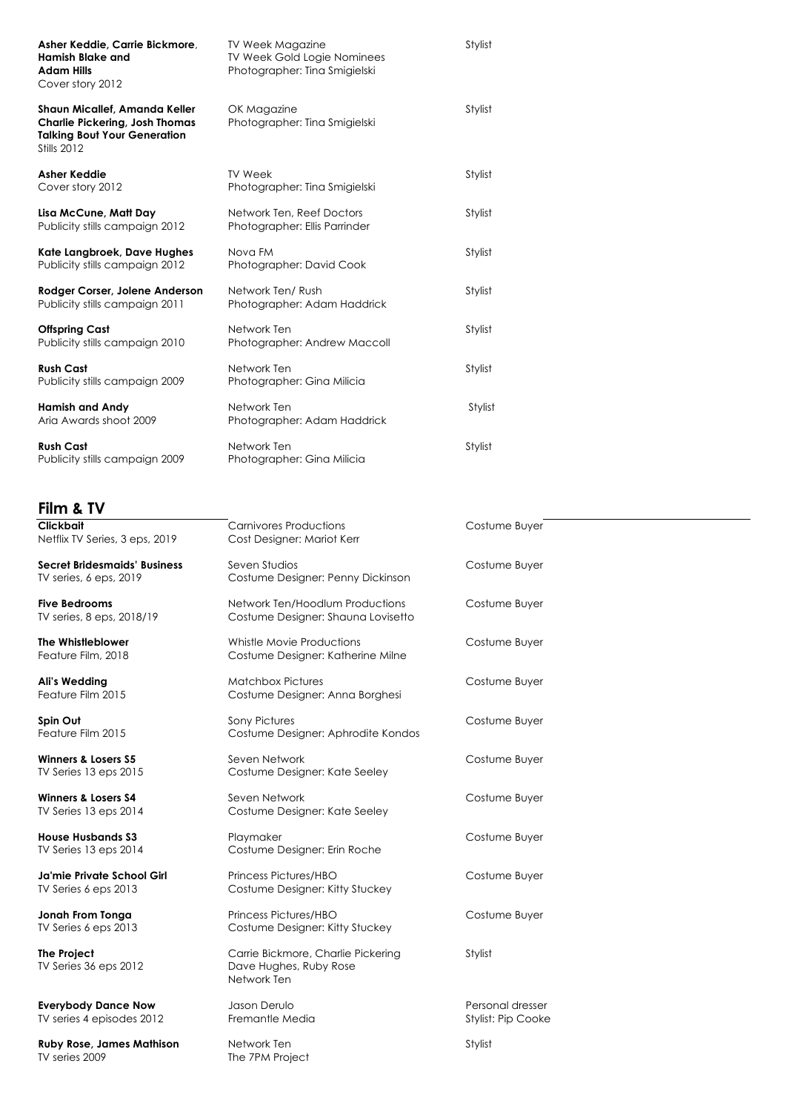| Asher Keddie, Carrie Bickmore,<br><b>Hamish Blake and</b><br><b>Adam Hills</b><br>Cover story 2012                           | <b>TV Week Magazine</b><br>TV Week Gold Logie Nominees<br>Photographer: Tina Smigielski | Stylist |
|------------------------------------------------------------------------------------------------------------------------------|-----------------------------------------------------------------------------------------|---------|
| Shaun Micallef, Amanda Keller<br><b>Charlie Pickering, Josh Thomas</b><br><b>Talking Bout Your Generation</b><br>Stills 2012 | OK Magazine<br>Photographer: Tina Smigielski                                            | Stylist |
| <b>Asher Keddie</b><br>Cover story 2012                                                                                      | <b>TV Week</b><br>Photographer: Tina Smigielski                                         | Stylist |
| Lisa McCune, Matt Day<br>Publicity stills campaign 2012                                                                      | Network Ten, Reef Doctors<br>Photographer: Ellis Parrinder                              | Stylist |
| Kate Langbroek, Dave Hughes<br>Publicity stills campaign 2012                                                                | Nova FM<br>Photographer: David Cook                                                     | Stylist |
| Rodger Corser, Jolene Anderson<br>Publicity stills campaign 2011                                                             | Network Ten/Rush<br>Photographer: Adam Haddrick                                         | Stylist |
| <b>Offspring Cast</b><br>Publicity stills campaign 2010                                                                      | Network Ten<br>Photographer: Andrew Maccoll                                             | Stylist |
| <b>Rush Cast</b><br>Publicity stills campaign 2009                                                                           | Network Ten<br>Photographer: Gina Milicia                                               | Stylist |
| <b>Hamish and Andy</b><br>Aria Awards shoot 2009                                                                             | Network Ten<br>Photographer: Adam Haddrick                                              | Stylist |
| <b>Rush Cast</b><br>Publicity stills campaign 2009                                                                           | Network Ten<br>Photographer: Gina Milicia                                               | Stylist |

**Film & TV**

**Ruby Rose, James Mathison** Metwork Ten Stylist<br>TV series 2009 The 7PM Project

The 7PM Project

| Clickbait<br>Netflix TV Series, 3 eps, 2019             | <b>Carnivores Productions</b><br>Cost Designer: Mariot Kerr                 | Costume Buyer                          |
|---------------------------------------------------------|-----------------------------------------------------------------------------|----------------------------------------|
| Secret Bridesmaids' Business<br>TV series, 6 eps, 2019  | Seven Studios<br>Costume Designer: Penny Dickinson                          | Costume Buyer                          |
| <b>Five Bedrooms</b><br>TV series, 8 eps, 2018/19       | Network Ten/Hoodlum Productions<br>Costume Designer: Shauna Lovisetto       | Costume Buyer                          |
| The Whistleblower<br>Feature Film, 2018                 | Whistle Movie Productions<br>Costume Designer: Katherine Milne              | Costume Buyer                          |
| Ali's Wedding<br>Feature Film 2015                      | <b>Matchbox Pictures</b><br>Costume Designer: Anna Borghesi                 | Costume Buyer                          |
| Spin Out<br>Feature Film 2015                           | <b>Sony Pictures</b><br>Costume Designer: Aphrodite Kondos                  | Costume Buyer                          |
| Winners & Losers S5<br>TV Series 13 eps 2015            | Seven Network<br>Costume Designer: Kate Seeley                              | Costume Buyer                          |
| Winners & Losers S4<br>TV Series 13 eps 2014            | Seven Network<br>Costume Designer: Kate Seeley                              | Costume Buyer                          |
| <b>House Husbands S3</b><br>TV Series 13 eps 2014       | Playmaker<br>Costume Designer: Erin Roche                                   | Costume Buyer                          |
| Ja'mie Private School Girl<br>TV Series 6 eps 2013      | Princess Pictures/HBO<br>Costume Designer: Kitty Stuckey                    | Costume Buyer                          |
| Jonah From Tonga<br>TV Series 6 eps 2013                | Princess Pictures/HBO<br>Costume Designer: Kitty Stuckey                    | Costume Buyer                          |
| The Project<br>TV Series 36 eps 2012                    | Carrie Bickmore, Charlie Pickering<br>Dave Hughes, Ruby Rose<br>Network Ten | Stylist                                |
| <b>Everybody Dance Now</b><br>TV series 4 episodes 2012 | Jason Derulo<br>Fremantle Media                                             | Personal dresser<br>Stylist: Pip Cooke |